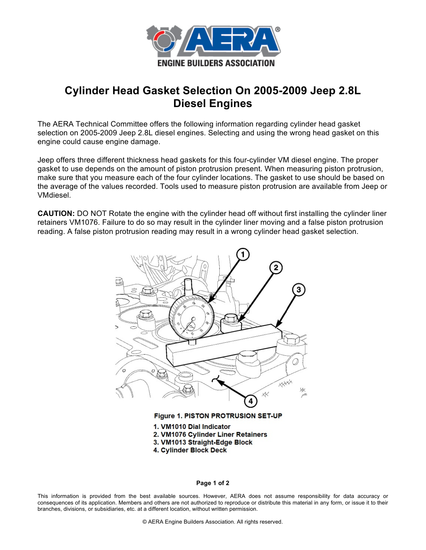

## **Cylinder Head Gasket Selection On 2005-2009 Jeep 2.8L Diesel Engines**

The AERA Technical Committee offers the following information regarding cylinder head gasket selection on 2005-2009 Jeep 2.8L diesel engines. Selecting and using the wrong head gasket on this engine could cause engine damage.

Jeep offers three different thickness head gaskets for this four-cylinder VM diesel engine. The proper gasket to use depends on the amount of piston protrusion present. When measuring piston protrusion, make sure that you measure each of the four cylinder locations. The gasket to use should be based on the average of the values recorded. Tools used to measure piston protrusion are available from Jeep or VMdiesel.

**CAUTION:** DO NOT Rotate the engine with the cylinder head off without first installing the cylinder liner retainers VM1076. Failure to do so may result in the cylinder liner moving and a false piston protrusion reading. A false piston protrusion reading may result in a wrong cylinder head gasket selection.



Figure 1. PISTON PROTRUSION SET-UP

- 1. VM1010 Dial Indicator
- 2. VM1076 Cylinder Liner Retainers
- 3. VM1013 Straight-Edge Block
- 4. Cylinder Block Deck

## **Page 1 of 2**

This information is provided from the best available sources. However, AERA does not assume responsibility for data accuracy or consequences of its application. Members and others are not authorized to reproduce or distribute this material in any form, or issue it to their branches, divisions, or subsidiaries, etc. at a different location, without written permission.